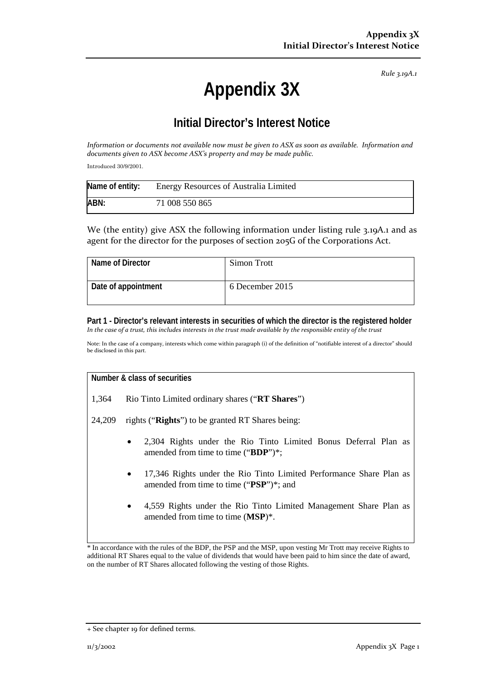*Rule 3.19A.1*

# **Appendix 3X**

## **Initial Director's Interest Notice**

*Information or documents not available now must be given to ASX as soon as available. Information and documents given to ASX become ASX's property and may be made public.*

Introduced 30/9/2001.

| Name of entity: | <b>Energy Resources of Australia Limited</b> |
|-----------------|----------------------------------------------|
| ABN:            | 71 008 550 865                               |

We (the entity) give ASX the following information under listing rule 3.19A.1 and as agent for the director for the purposes of section 205G of the Corporations Act.

| Name of Director    | Simon Trott     |
|---------------------|-----------------|
| Date of appointment | 6 December 2015 |

**Part 1 - Director's relevant interests in securities of which the director is the registered holder** *In the case of a trust, this includes interests in the trust made available by the responsible entity of the trust*

Note: In the case of a company, interests which come within paragraph (i) of the definition of "notifiable interest of a director" should be disclosed in this part.

### **Number & class of securities**

1,364 Rio Tinto Limited ordinary shares ("**RT Shares**")

24,209 rights ("**Rights**") to be granted RT Shares being:

- 2,304 Rights under the Rio Tinto Limited Bonus Deferral Plan as amended from time to time ("**BDP**")\*;
- 17,346 Rights under the Rio Tinto Limited Performance Share Plan as amended from time to time ("**PSP**")\*; and
- 4,559 Rights under the Rio Tinto Limited Management Share Plan as amended from time to time (**MSP**)\*.

\* In accordance with the rules of the BDP, the PSP and the MSP, upon vesting Mr Trott may receive Rights to additional RT Shares equal to the value of dividends that would have been paid to him since the date of award, on the number of RT Shares allocated following the vesting of those Rights.

<sup>+</sup> See chapter 19 for defined terms.